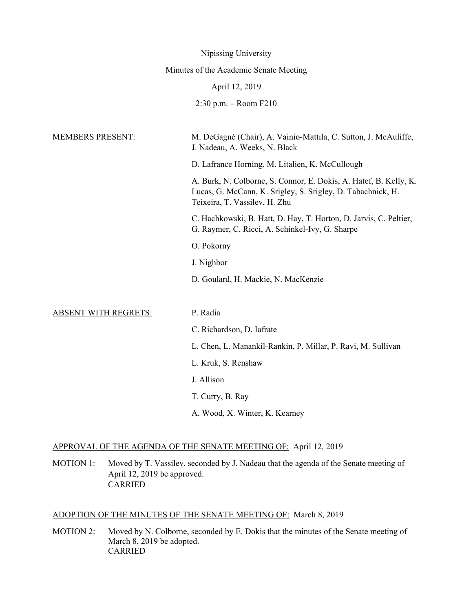|                             | Nipissing University                                                                                                                                              |
|-----------------------------|-------------------------------------------------------------------------------------------------------------------------------------------------------------------|
|                             | Minutes of the Academic Senate Meeting                                                                                                                            |
|                             | April 12, 2019                                                                                                                                                    |
|                             | $2:30$ p.m. – Room F210                                                                                                                                           |
| <b>MEMBERS PRESENT:</b>     | M. DeGagné (Chair), A. Vainio-Mattila, C. Sutton, J. McAuliffe,<br>J. Nadeau, A. Weeks, N. Black                                                                  |
|                             | D. Lafrance Horning, M. Litalien, K. McCullough                                                                                                                   |
|                             | A. Burk, N. Colborne, S. Connor, E. Dokis, A. Hatef, B. Kelly, K.<br>Lucas, G. McCann, K. Srigley, S. Srigley, D. Tabachnick, H.<br>Teixeira, T. Vassilev, H. Zhu |
|                             | C. Hachkowski, B. Hatt, D. Hay, T. Horton, D. Jarvis, C. Peltier,<br>G. Raymer, C. Ricci, A. Schinkel-Ivy, G. Sharpe                                              |
|                             | O. Pokorny                                                                                                                                                        |
|                             | J. Nighbor                                                                                                                                                        |
|                             | D. Goulard, H. Mackie, N. MacKenzie                                                                                                                               |
|                             |                                                                                                                                                                   |
| <b>ABSENT WITH REGRETS:</b> | P. Radia                                                                                                                                                          |
|                             | C. Richardson, D. Iafrate                                                                                                                                         |
|                             | L. Chen, L. Manankil-Rankin, P. Millar, P. Ravi, M. Sullivan                                                                                                      |
|                             | L. Kruk, S. Renshaw                                                                                                                                               |
|                             | J. Allison                                                                                                                                                        |
|                             | T. Curry, B. Ray                                                                                                                                                  |
|                             | A. Wood, X. Winter, K. Kearney                                                                                                                                    |
|                             |                                                                                                                                                                   |

### APPROVAL OF THE AGENDA OF THE SENATE MEETING OF: April 12, 2019

MOTION 1: Moved by T. Vassilev, seconded by J. Nadeau that the agenda of the Senate meeting of April 12, 2019 be approved. CARRIED

#### ADOPTION OF THE MINUTES OF THE SENATE MEETING OF: March 8, 2019

MOTION 2: Moved by N. Colborne, seconded by E. Dokis that the minutes of the Senate meeting of March 8, 2019 be adopted. CARRIED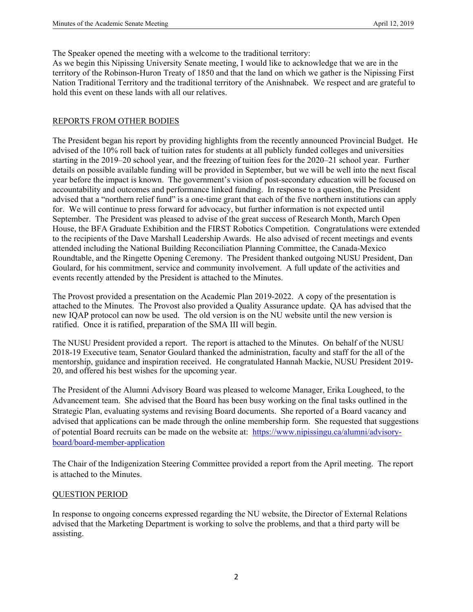The Speaker opened the meeting with a welcome to the traditional territory:

As we begin this Nipissing University Senate meeting, I would like to acknowledge that we are in the territory of the Robinson-Huron Treaty of 1850 and that the land on which we gather is the Nipissing First Nation Traditional Territory and the traditional territory of the Anishnabek. We respect and are grateful to hold this event on these lands with all our relatives.

### REPORTS FROM OTHER BODIES

The President began his report by providing highlights from the recently announced Provincial Budget. He advised of the 10% roll back of tuition rates for students at all publicly funded colleges and universities starting in the 2019–20 school year, and the freezing of tuition fees for the 2020–21 school year. Further details on possible available funding will be provided in September, but we will be well into the next fiscal year before the impact is known. The government's vision of post-secondary education will be focused on accountability and outcomes and performance linked funding. In response to a question, the President advised that a "northern relief fund" is a one-time grant that each of the five northern institutions can apply for. We will continue to press forward for advocacy, but further information is not expected until September. The President was pleased to advise of the great success of Research Month, March Open House, the BFA Graduate Exhibition and the FIRST Robotics Competition. Congratulations were extended to the recipients of the Dave Marshall Leadership Awards. He also advised of recent meetings and events attended including the National Building Reconciliation Planning Committee, the Canada-Mexico Roundtable, and the Ringette Opening Ceremony. The President thanked outgoing NUSU President, Dan Goulard, for his commitment, service and community involvement. A full update of the activities and events recently attended by the President is attached to the Minutes.

The Provost provided a presentation on the Academic Plan 2019-2022. A copy of the presentation is attached to the Minutes. The Provost also provided a Quality Assurance update. QA has advised that the new IQAP protocol can now be used. The old version is on the NU website until the new version is ratified. Once it is ratified, preparation of the SMA III will begin.

The NUSU President provided a report. The report is attached to the Minutes. On behalf of the NUSU 2018-19 Executive team, Senator Goulard thanked the administration, faculty and staff for the all of the mentorship, guidance and inspiration received. He congratulated Hannah Mackie, NUSU President 2019- 20, and offered his best wishes for the upcoming year.

The President of the Alumni Advisory Board was pleased to welcome Manager, Erika Lougheed, to the Advancement team. She advised that the Board has been busy working on the final tasks outlined in the Strategic Plan, evaluating systems and revising Board documents. She reported of a Board vacancy and advised that applications can be made through the online membership form. She requested that suggestions of potential Board recruits can be made on the website at: https://www.nipissingu.ca/alumni/advisoryboard/board-member-application

The Chair of the Indigenization Steering Committee provided a report from the April meeting. The report is attached to the Minutes.

### QUESTION PERIOD

In response to ongoing concerns expressed regarding the NU website, the Director of External Relations advised that the Marketing Department is working to solve the problems, and that a third party will be assisting.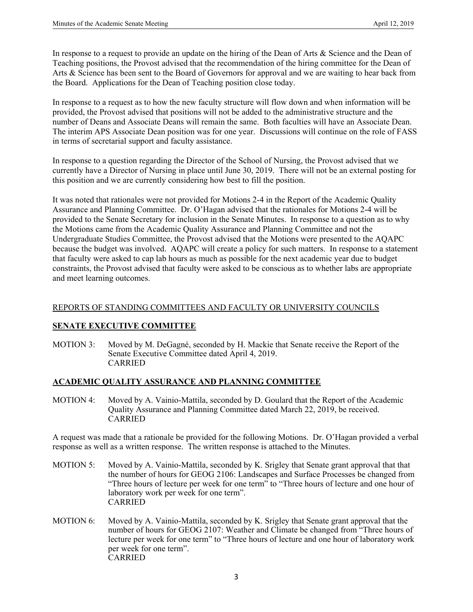In response to a request to provide an update on the hiring of the Dean of Arts & Science and the Dean of Teaching positions, the Provost advised that the recommendation of the hiring committee for the Dean of Arts & Science has been sent to the Board of Governors for approval and we are waiting to hear back from the Board. Applications for the Dean of Teaching position close today.

In response to a request as to how the new faculty structure will flow down and when information will be provided, the Provost advised that positions will not be added to the administrative structure and the number of Deans and Associate Deans will remain the same. Both faculties will have an Associate Dean. The interim APS Associate Dean position was for one year. Discussions will continue on the role of FASS in terms of secretarial support and faculty assistance.

In response to a question regarding the Director of the School of Nursing, the Provost advised that we currently have a Director of Nursing in place until June 30, 2019. There will not be an external posting for this position and we are currently considering how best to fill the position.

It was noted that rationales were not provided for Motions 2-4 in the Report of the Academic Quality Assurance and Planning Committee. Dr. O'Hagan advised that the rationales for Motions 2-4 will be provided to the Senate Secretary for inclusion in the Senate Minutes. In response to a question as to why the Motions came from the Academic Quality Assurance and Planning Committee and not the Undergraduate Studies Committee, the Provost advised that the Motions were presented to the AQAPC because the budget was involved. AQAPC will create a policy for such matters. In response to a statement that faculty were asked to cap lab hours as much as possible for the next academic year due to budget constraints, the Provost advised that faculty were asked to be conscious as to whether labs are appropriate and meet learning outcomes.

#### REPORTS OF STANDING COMMITTEES AND FACULTY OR UNIVERSITY COUNCILS

#### **SENATE EXECUTIVE COMMITTEE**

MOTION 3: Moved by M. DeGagné, seconded by H. Mackie that Senate receive the Report of the Senate Executive Committee dated April 4, 2019. CARRIED

#### **ACADEMIC QUALITY ASSURANCE AND PLANNING COMMITTEE**

MOTION 4: Moved by A. Vainio-Mattila, seconded by D. Goulard that the Report of the Academic Quality Assurance and Planning Committee dated March 22, 2019, be received. CARRIED

A request was made that a rationale be provided for the following Motions. Dr. O'Hagan provided a verbal response as well as a written response. The written response is attached to the Minutes.

- MOTION 5: Moved by A. Vainio-Mattila, seconded by K. Srigley that Senate grant approval that that the number of hours for GEOG 2106: Landscapes and Surface Processes be changed from "Three hours of lecture per week for one term<sup>3</sup> to "Three hours of lecture and one hour of laboratory work per week for one term". CARRIED
- MOTION 6: Moved by A. Vainio-Mattila, seconded by K. Srigley that Senate grant approval that the number of hours for GEOG 2107: Weather and Climate be changed from "Three hours of lecture per week for one term" to "Three hours of lecture and one hour of laboratory work per week for one term". **CARRIED**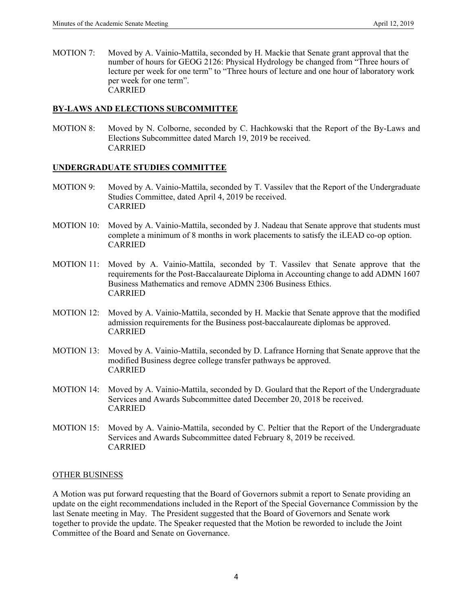MOTION 7: Moved by A. Vainio-Mattila, seconded by H. Mackie that Senate grant approval that the number of hours for GEOG 2126: Physical Hydrology be changed from "Three hours of lecture per week for one term" to "Three hours of lecture and one hour of laboratory work per week for one term". CARRIED

### **BY-LAWS AND ELECTIONS SUBCOMMITTEE**

MOTION 8: Moved by N. Colborne, seconded by C. Hachkowski that the Report of the By-Laws and Elections Subcommittee dated March 19, 2019 be received. CARRIED

### **UNDERGRADUATE STUDIES COMMITTEE**

- MOTION 9: Moved by A. Vainio-Mattila, seconded by T. Vassilev that the Report of the Undergraduate Studies Committee, dated April 4, 2019 be received. CARRIED
- MOTION 10: Moved by A. Vainio-Mattila, seconded by J. Nadeau that Senate approve that students must complete a minimum of 8 months in work placements to satisfy the iLEAD co-op option. CARRIED
- MOTION 11: Moved by A. Vainio-Mattila, seconded by T. Vassilev that Senate approve that the requirements for the Post-Baccalaureate Diploma in Accounting change to add ADMN 1607 Business Mathematics and remove ADMN 2306 Business Ethics. CARRIED
- MOTION 12: Moved by A. Vainio-Mattila, seconded by H. Mackie that Senate approve that the modified admission requirements for the Business post-baccalaureate diplomas be approved. CARRIED
- MOTION 13: Moved by A. Vainio-Mattila, seconded by D. Lafrance Horning that Senate approve that the modified Business degree college transfer pathways be approved. CARRIED
- MOTION 14: Moved by A. Vainio-Mattila, seconded by D. Goulard that the Report of the Undergraduate Services and Awards Subcommittee dated December 20, 2018 be received. CARRIED
- MOTION 15: Moved by A. Vainio-Mattila, seconded by C. Peltier that the Report of the Undergraduate Services and Awards Subcommittee dated February 8, 2019 be received. CARRIED

#### OTHER BUSINESS

A Motion was put forward requesting that the Board of Governors submit a report to Senate providing an update on the eight recommendations included in the Report of the Special Governance Commission by the last Senate meeting in May. The President suggested that the Board of Governors and Senate work together to provide the update. The Speaker requested that the Motion be reworded to include the Joint Committee of the Board and Senate on Governance.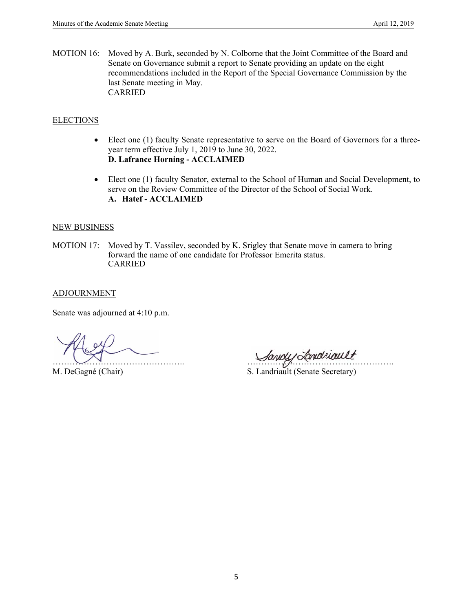MOTION 16: Moved by A. Burk, seconded by N. Colborne that the Joint Committee of the Board and Senate on Governance submit a report to Senate providing an update on the eight recommendations included in the Report of the Special Governance Commission by the last Senate meeting in May. CARRIED

### **ELECTIONS**

- Elect one (1) faculty Senate representative to serve on the Board of Governors for a threeyear term effective July 1, 2019 to June 30, 2022. **D. Lafrance Horning - ACCLAIMED**
- Elect one (1) faculty Senator, external to the School of Human and Social Development, to serve on the Review Committee of the Director of the School of Social Work. **A. Hatef - ACCLAIMED**

#### NEW BUSINESS

MOTION 17: Moved by T. Vassilev, seconded by K. Srigley that Senate move in camera to bring forward the name of one candidate for Professor Emerita status. CARRIED

### ADJOURNMENT

Senate was adjourned at 4:10 p.m.

……………………………………….. …………………………………………….

M. DeGagné (Chair) S. Landriault (Senate Secretary)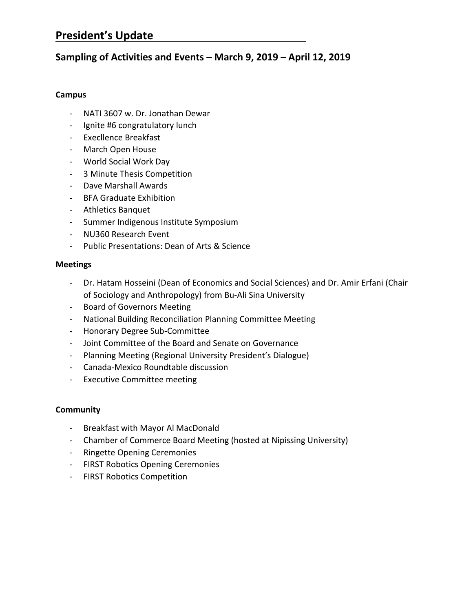### **President's Update**

### **Sampling of Activities and Events – March 9, 2019 – April 12, 2019**

### **Campus**

- NATI 3607 w. Dr. Jonathan Dewar
- Ignite #6 congratulatory lunch
- Execllence Breakfast
- March Open House
- World Social Work Day
- 3 Minute Thesis Competition
- Dave Marshall Awards
- BFA Graduate Exhibition
- Athletics Banquet
- Summer Indigenous Institute Symposium
- NU360 Research Event
- Public Presentations: Dean of Arts & Science

### **Meetings**

- Dr. Hatam Hosseini (Dean of Economics and Social Sciences) and Dr. Amir Erfani (Chair of Sociology and Anthropology) from Bu-Ali Sina University
- Board of Governors Meeting
- National Building Reconciliation Planning Committee Meeting
- Honorary Degree Sub-Committee
- Joint Committee of the Board and Senate on Governance
- Planning Meeting (Regional University President's Dialogue)
- Canada-Mexico Roundtable discussion
- Executive Committee meeting

### **Community**

- Breakfast with Mayor Al MacDonald
- Chamber of Commerce Board Meeting (hosted at Nipissing University)
- Ringette Opening Ceremonies
- FIRST Robotics Opening Ceremonies
- FIRST Robotics Competition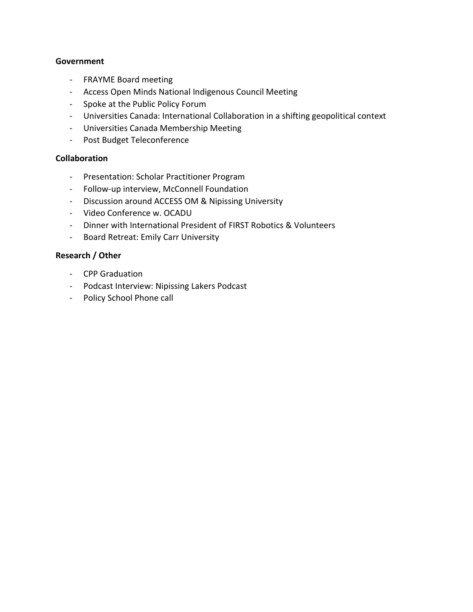### **Government**

- FRAYME Board meeting
- Access Open Minds National Indigenous Council Meeting
- Spoke at the Public Policy Forum
- Universities Canada: International Collaboration in a shifting geopolitical context
- Universities Canada Membership Meeting
- Post Budget Teleconference

### **Collaboration**

- Presentation: Scholar Practitioner Program
- Follow-up interview, McConnell Foundation
- Discussion around ACCESS OM & Nipissing University
- Video Conference w. OCADU
- Dinner with International President of FIRST Robotics & Volunteers
- Board Retreat: Emily Carr University

### **Research / Other**

- CPP Graduation
- Podcast Interview: Nipissing Lakers Podcast
- Policy School Phone call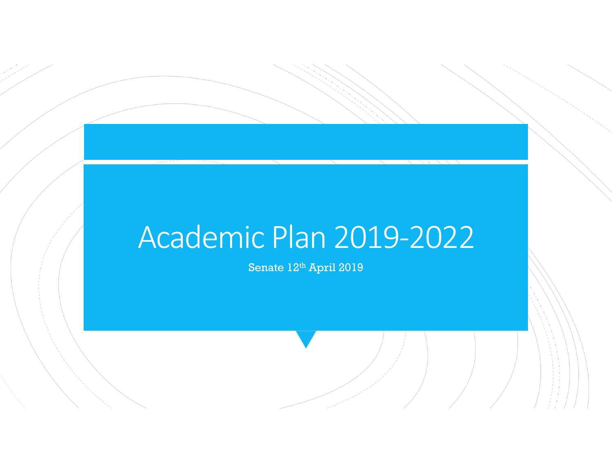# Academic Plan 2019‐2022

Senate 12th April 2019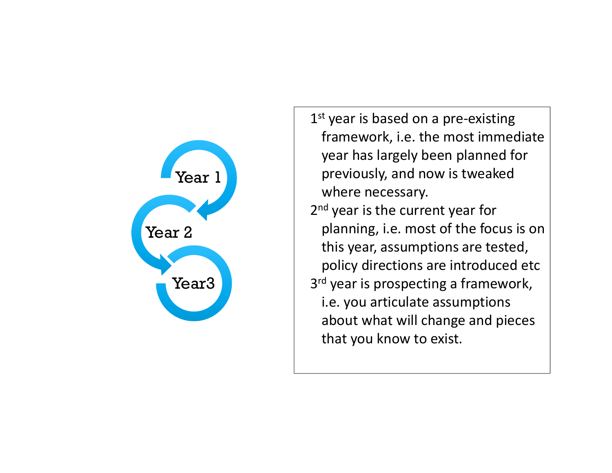

1<sup>st</sup> year is based on a pre-existing framework, i.e. the most immediate year has largely been planned for previously, and now is tweaked where necessary. 2<sup>nd</sup> year is the current year for planning, i.e. most of the focus is on this year, assumptions are tested, policy directions are introduced etc 3<sup>rd</sup> year is prospecting a framework, i.e. you articulate assumptions about what will change and pieces that you know to exist.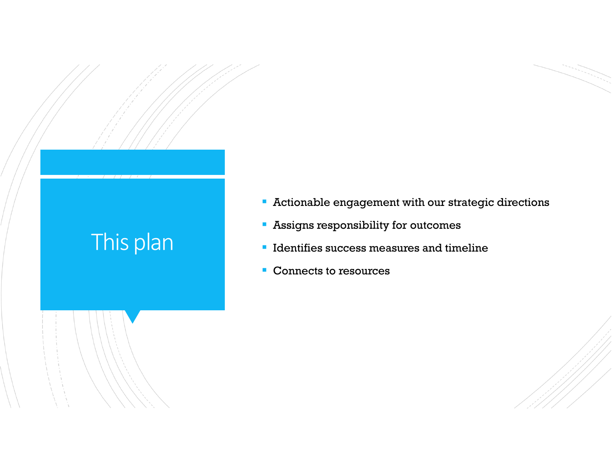## This plan

- Actionable engagement with our strategic directions
- Assigns responsibility for outcomes
- **If Identifies success measures and timeline**
- Connects to resources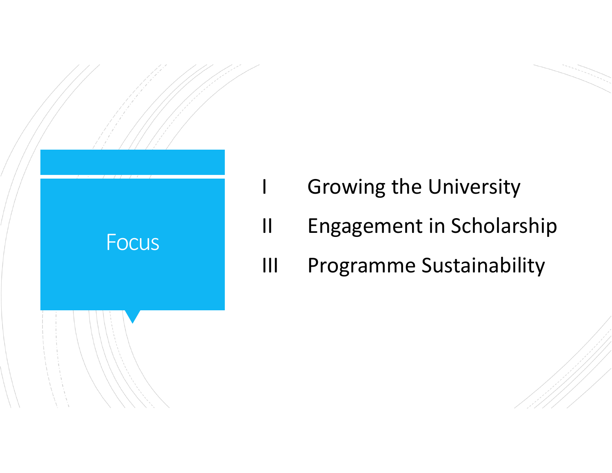

- **Growing the University**
- II Engagement in Scholarship
- III Programme Sustainability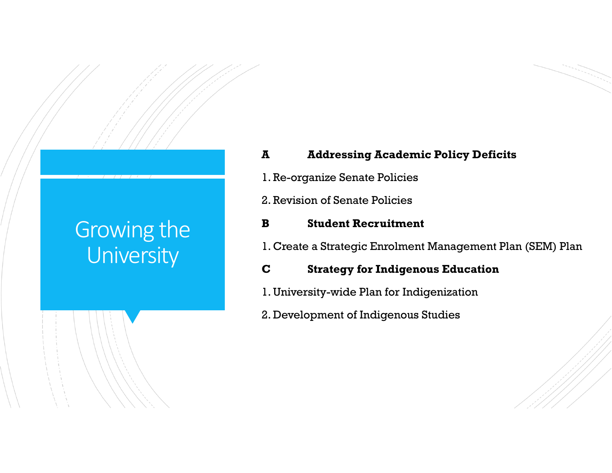## Growing the **University**

## **A Addressing Academic Policy Deficits**

- 1. Re-organize Senate Policies
- 2. Revision of Senate Policies

### **B Student Recruitment**

1. Create a Strategic Enrolment Management Plan (SEM) Plan

### **C Strategy for Indigenous Education**

- 1. University-wide Plan for Indigenization
- 2. Development of Indigenous Studies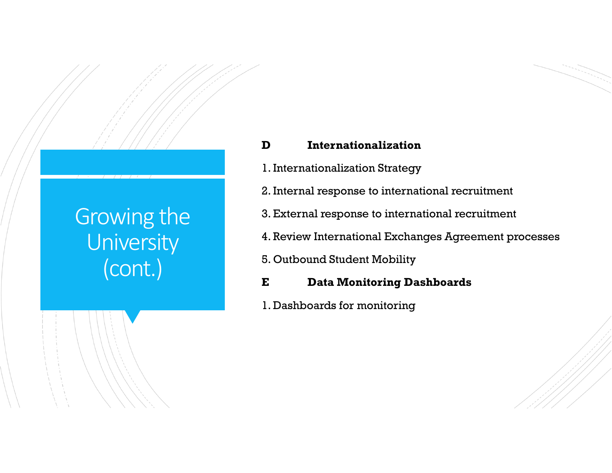## Growing the **University** (cont.)

## **D Internationalization**

- 1. Internationalization Strategy
- 2. Internal response to international recruitment
- 3. External response to international recruitment
- 4. Review International Exchanges Agreement processes
- 5. Outbound Student Mobility
- **E Data Monitoring Dashboards**
- 1. Dashboards for monitoring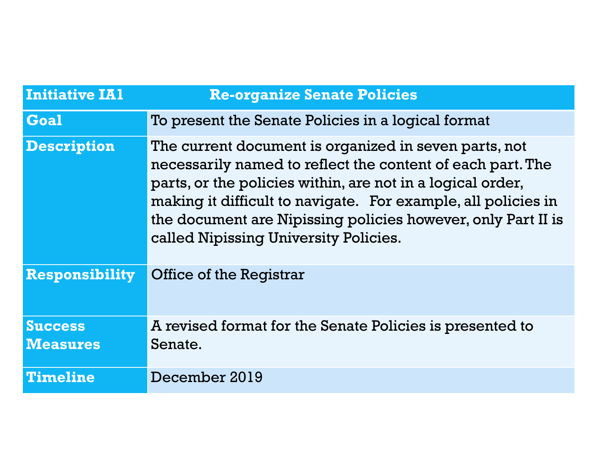| <b>Initiative IA1</b> | <b>Re-organize Senate Policies</b>                                                                                                                                                                                                                                                                                                                          |
|-----------------------|-------------------------------------------------------------------------------------------------------------------------------------------------------------------------------------------------------------------------------------------------------------------------------------------------------------------------------------------------------------|
| Goal                  | To present the Senate Policies in a logical format                                                                                                                                                                                                                                                                                                          |
| <b>Description</b>    | The current document is organized in seven parts, not<br>necessarily named to reflect the content of each part. The<br>parts, or the policies within, are not in a logical order,<br>making it difficult to navigate. For example, all policies in<br>the document are Nipissing policies however, only Part II is<br>called Nipissing University Policies. |
| <b>Responsibility</b> | <b>Office of the Registrar</b>                                                                                                                                                                                                                                                                                                                              |
| <b>Success</b>        | A revised format for the Senate Policies is presented to                                                                                                                                                                                                                                                                                                    |
| <b>Measures</b>       | Senate.                                                                                                                                                                                                                                                                                                                                                     |
| <b>Timeline</b>       | December 2019                                                                                                                                                                                                                                                                                                                                               |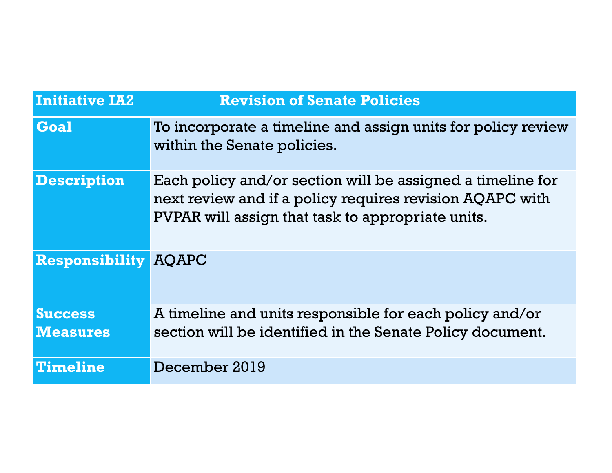| <b>Initiative IA2</b>             | <b>Revision of Senate Policies</b>                                                                                                                                          |
|-----------------------------------|-----------------------------------------------------------------------------------------------------------------------------------------------------------------------------|
| Goal                              | To incorporate a timeline and assign units for policy review<br>within the Senate policies.                                                                                 |
| <b>Description</b>                | Each policy and/or section will be assigned a timeline for<br>next review and if a policy requires revision AQAPC with<br>PVPAR will assign that task to appropriate units. |
| <b>Responsibility</b>             | <b>AOAPC</b>                                                                                                                                                                |
| <b>Success</b><br><b>Measures</b> | A timeline and units responsible for each policy and/or<br>section will be identified in the Senate Policy document.                                                        |
| <b>Timeline</b>                   | December 2019                                                                                                                                                               |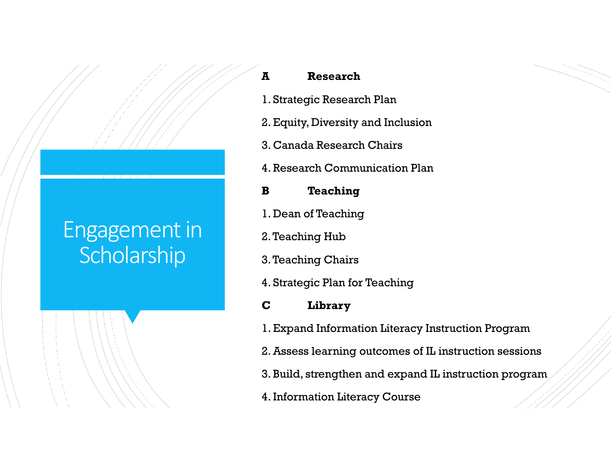## Engagement in **Scholarship**

## **A Research**

- 1. Strategic Research Plan
- 2. Equity, Diversity and Inclusion
- 3. Canada Research Chairs
- 4. Research Communication Plan
- **B Teaching**
- 1. Dean of Teaching
- 2. Teaching Hub
- 3. Teaching Chairs
- 4. Strategic Plan for Teaching
- **C Library**
- 1. Expand Information Literacy Instruction Program
- 2. Assess learning outcomes of IL instruction sessions
- 3. Build, strengthen and expand IL instruction program
- 4. Information Literacy Course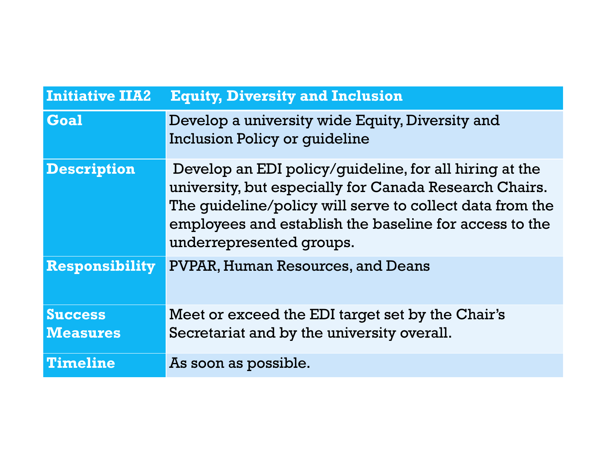| <b>Initiative IIA2</b> | <b>Equity, Diversity and Inclusion</b>                                                                                                                                                                                                                             |
|------------------------|--------------------------------------------------------------------------------------------------------------------------------------------------------------------------------------------------------------------------------------------------------------------|
| Goal                   | Develop a university wide Equity, Diversity and<br><b>Inclusion Policy or quideline</b>                                                                                                                                                                            |
| <b>Description</b>     | Develop an EDI policy/guideline, for all hiring at the<br>university, but especially for Canada Research Chairs.<br>The guideline/policy will serve to collect data from the<br>employees and establish the baseline for access to the<br>underrepresented groups. |
| <b>Responsibility</b>  | <b>PVPAR, Human Resources, and Deans</b>                                                                                                                                                                                                                           |
| <b>Success</b>         | Meet or exceed the EDI target set by the Chair's                                                                                                                                                                                                                   |
| <b>Measures</b>        | Secretariat and by the university overall.                                                                                                                                                                                                                         |
| <b>Timeline</b>        | As soon as possible.                                                                                                                                                                                                                                               |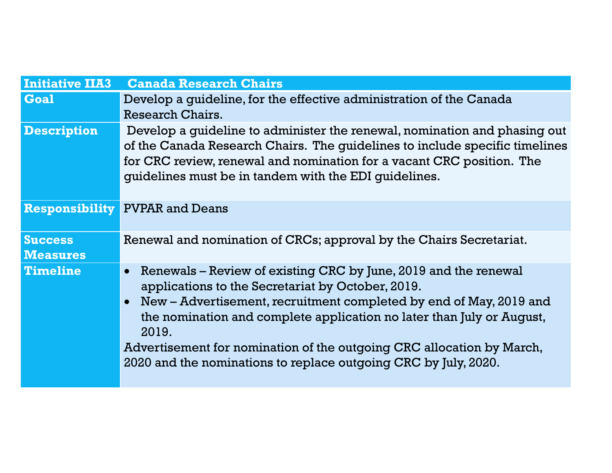| <b>Initiative IIA3</b>            | <b>Canada Research Chairs</b>                                                                                                                                                                                                                                                                                                                                                                                                                      |
|-----------------------------------|----------------------------------------------------------------------------------------------------------------------------------------------------------------------------------------------------------------------------------------------------------------------------------------------------------------------------------------------------------------------------------------------------------------------------------------------------|
| <b>Goal</b>                       | Develop a guideline, for the effective administration of the Canada<br>Research Chairs.                                                                                                                                                                                                                                                                                                                                                            |
| <b>Description</b>                | Develop a guideline to administer the renewal, nomination and phasing out<br>of the Canada Research Chairs. The guidelines to include specific timelines<br>for CRC review, renewal and nomination for a vacant CRC position. The<br>quidelines must be in tandem with the EDI quidelines.                                                                                                                                                         |
|                                   | <b>Responsibility PVPAR and Deans</b>                                                                                                                                                                                                                                                                                                                                                                                                              |
| <b>Success</b><br><b>Measures</b> | Renewal and nomination of CRCs; approval by the Chairs Secretariat.                                                                                                                                                                                                                                                                                                                                                                                |
| <b>Timeline</b>                   | Renewals – Review of existing CRC by June, 2019 and the renewal<br>$\bullet$<br>applications to the Secretariat by October, 2019.<br>New – Advertisement, recruitment completed by end of May, 2019 and<br>$\bullet$<br>the nomination and complete application no later than July or August,<br>2019.<br>Advertisement for nomination of the outgoing CRC allocation by March,<br>2020 and the nominations to replace outgoing CRC by July, 2020. |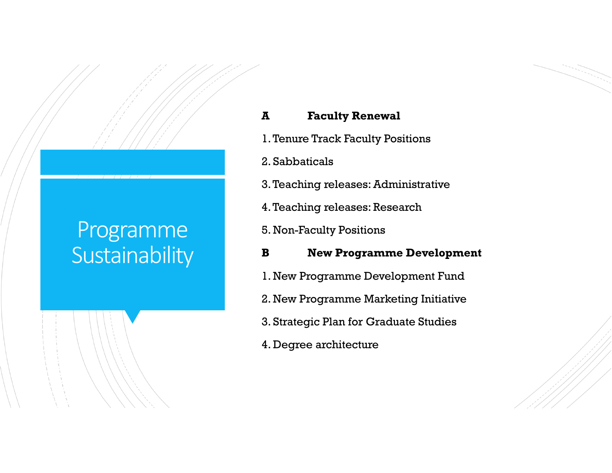## Programme **Sustainability**

### **A Faculty Renewal**

- 1. Tenure Track Faculty Positions
- 2. Sabbaticals
- 3. Teaching releases: Administrative
- 4. Teaching releases: Research
- 5. Non-Faculty Positions
- **B New Programme Development**
- 1. New Programme Development Fund
- 2. New Programme Marketing Initiative
- 3. Strategic Plan for Graduate Studies
- 4. Degree architecture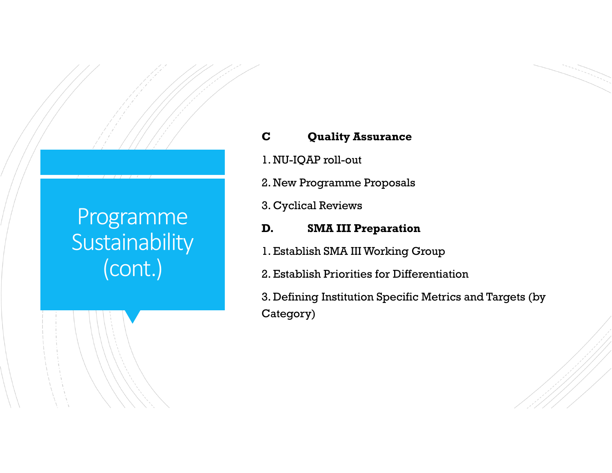## Programme **Sustainability** (cont.)

## **C Quality Assurance**

- 1. NU-IQAP roll-out
- 2. New Programme Proposals
- 3. Cyclical Reviews

### **D. SMA III Preparation**

- 1. Establish SMA III Working Group
- 2. Establish Priorities for Differentiation

3. Defining Institution Specific Metrics and Targets (by Category)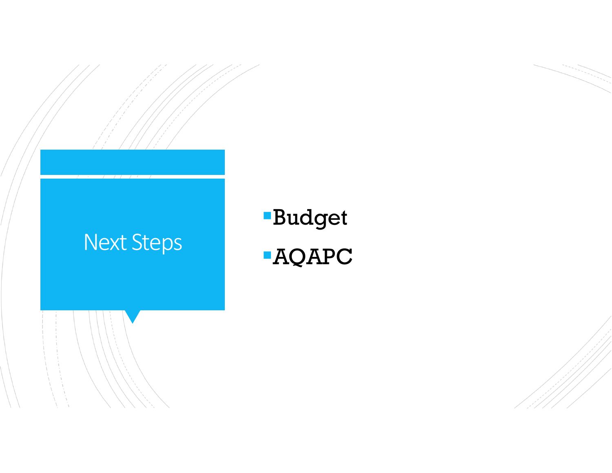## Next Steps

# Budget AQAPC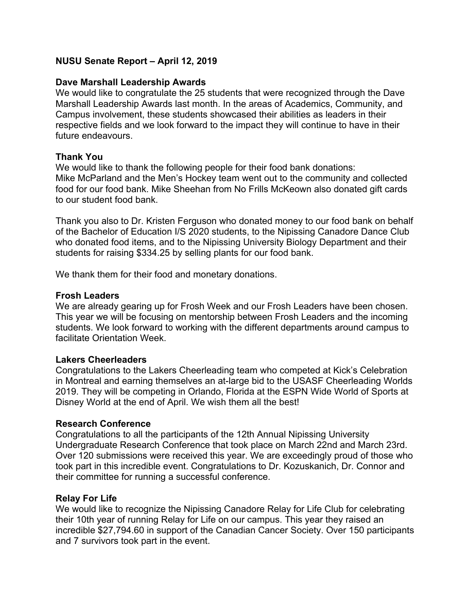### **NUSU Senate Report – April 12, 2019**

### **Dave Marshall Leadership Awards**

We would like to congratulate the 25 students that were recognized through the Dave Marshall Leadership Awards last month. In the areas of Academics, Community, and Campus involvement, these students showcased their abilities as leaders in their respective fields and we look forward to the impact they will continue to have in their future endeavours.

### **Thank You**

We would like to thank the following people for their food bank donations: Mike McParland and the Men's Hockey team went out to the community and collected food for our food bank. Mike Sheehan from No Frills McKeown also donated gift cards to our student food bank.

Thank you also to Dr. Kristen Ferguson who donated money to our food bank on behalf of the Bachelor of Education I/S 2020 students, to the Nipissing Canadore Dance Club who donated food items, and to the Nipissing University Biology Department and their students for raising \$334.25 by selling plants for our food bank.

We thank them for their food and monetary donations.

### **Frosh Leaders**

We are already gearing up for Frosh Week and our Frosh Leaders have been chosen. This year we will be focusing on mentorship between Frosh Leaders and the incoming students. We look forward to working with the different departments around campus to facilitate Orientation Week.

### **Lakers Cheerleaders**

Congratulations to the Lakers Cheerleading team who competed at Kick's Celebration in Montreal and earning themselves an at-large bid to the USASF Cheerleading Worlds 2019. They will be competing in Orlando, Florida at the ESPN Wide World of Sports at Disney World at the end of April. We wish them all the best!

### **Research Conference**

Congratulations to all the participants of the 12th Annual Nipissing University Undergraduate Research Conference that took place on March 22nd and March 23rd. Over 120 submissions were received this year. We are exceedingly proud of those who took part in this incredible event. Congratulations to Dr. Kozuskanich, Dr. Connor and their committee for running a successful conference.

### **Relay For Life**

We would like to recognize the Nipissing Canadore Relay for Life Club for celebrating their 10th year of running Relay for Life on our campus. This year they raised an incredible \$27,794.60 in support of the Canadian Cancer Society. Over 150 participants and 7 survivors took part in the event.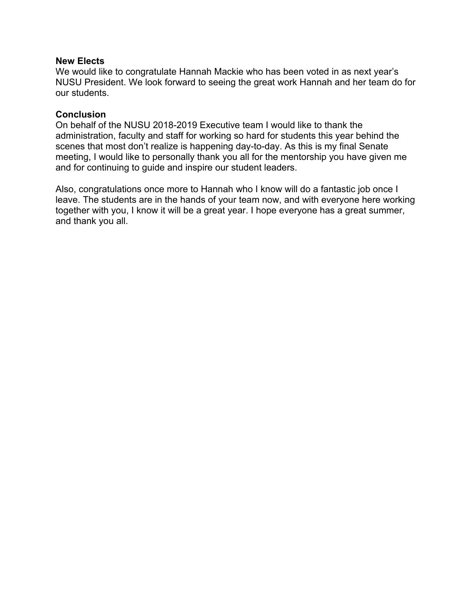### **New Elects**

We would like to congratulate Hannah Mackie who has been voted in as next year's NUSU President. We look forward to seeing the great work Hannah and her team do for our students.

### **Conclusion**

On behalf of the NUSU 2018-2019 Executive team I would like to thank the administration, faculty and staff for working so hard for students this year behind the scenes that most don't realize is happening day-to-day. As this is my final Senate meeting, I would like to personally thank you all for the mentorship you have given me and for continuing to guide and inspire our student leaders.

Also, congratulations once more to Hannah who I know will do a fantastic job once I leave. The students are in the hands of your team now, and with everyone here working together with you, I know it will be a great year. I hope everyone has a great summer, and thank you all.